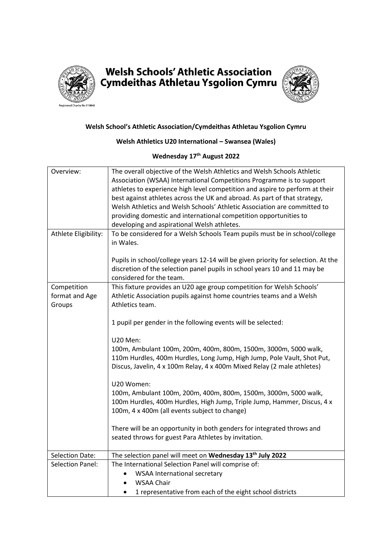

## **Welsh Schools' Athletic Association** Cymdeithas Athletau Ysgolion Cymru



## **Welsh School's Athletic Association/Cymdeithas Athletau Ysgolion Cymru**

## **Welsh Athletics U20 International – Swansea (Wales)**

## **Wednesday 17th August 2022**

| Overview:               | The overall objective of the Welsh Athletics and Welsh Schools Athletic<br>Association (WSAA) International Competitions Programme is to support<br>athletes to experience high level competition and aspire to perform at their<br>best against athletes across the UK and abroad. As part of that strategy,<br>Welsh Athletics and Welsh Schools' Athletic Association are committed to<br>providing domestic and international competition opportunities to<br>developing and aspirational Welsh athletes. |  |  |
|-------------------------|---------------------------------------------------------------------------------------------------------------------------------------------------------------------------------------------------------------------------------------------------------------------------------------------------------------------------------------------------------------------------------------------------------------------------------------------------------------------------------------------------------------|--|--|
| Athlete Eligibility:    | To be considered for a Welsh Schools Team pupils must be in school/college<br>in Wales.                                                                                                                                                                                                                                                                                                                                                                                                                       |  |  |
|                         | Pupils in school/college years 12-14 will be given priority for selection. At the<br>discretion of the selection panel pupils in school years 10 and 11 may be<br>considered for the team.                                                                                                                                                                                                                                                                                                                    |  |  |
| Competition             | This fixture provides an U20 age group competition for Welsh Schools'                                                                                                                                                                                                                                                                                                                                                                                                                                         |  |  |
| format and Age          | Athletic Association pupils against home countries teams and a Welsh                                                                                                                                                                                                                                                                                                                                                                                                                                          |  |  |
| Groups                  | Athletics team.                                                                                                                                                                                                                                                                                                                                                                                                                                                                                               |  |  |
|                         | 1 pupil per gender in the following events will be selected:<br>U20 Men:                                                                                                                                                                                                                                                                                                                                                                                                                                      |  |  |
|                         |                                                                                                                                                                                                                                                                                                                                                                                                                                                                                                               |  |  |
|                         | 100m, Ambulant 100m, 200m, 400m, 800m, 1500m, 3000m, 5000 walk,<br>110m Hurdles, 400m Hurdles, Long Jump, High Jump, Pole Vault, Shot Put,<br>Discus, Javelin, 4 x 100m Relay, 4 x 400m Mixed Relay (2 male athletes)                                                                                                                                                                                                                                                                                         |  |  |
|                         | U20 Women:                                                                                                                                                                                                                                                                                                                                                                                                                                                                                                    |  |  |
|                         | 100m, Ambulant 100m, 200m, 400m, 800m, 1500m, 3000m, 5000 walk,<br>100m Hurdles, 400m Hurdles, High Jump, Triple Jump, Hammer, Discus, 4 x<br>100m, 4 x 400m (all events subject to change)                                                                                                                                                                                                                                                                                                                   |  |  |
|                         | There will be an opportunity in both genders for integrated throws and<br>seated throws for guest Para Athletes by invitation.                                                                                                                                                                                                                                                                                                                                                                                |  |  |
| <b>Selection Date:</b>  | The selection panel will meet on Wednesday 13 <sup>th</sup> July 2022                                                                                                                                                                                                                                                                                                                                                                                                                                         |  |  |
| <b>Selection Panel:</b> | The International Selection Panel will comprise of:                                                                                                                                                                                                                                                                                                                                                                                                                                                           |  |  |
|                         | <b>WSAA International secretary</b>                                                                                                                                                                                                                                                                                                                                                                                                                                                                           |  |  |
|                         | <b>WSAA Chair</b>                                                                                                                                                                                                                                                                                                                                                                                                                                                                                             |  |  |
|                         | 1 representative from each of the eight school districts<br>$\bullet$                                                                                                                                                                                                                                                                                                                                                                                                                                         |  |  |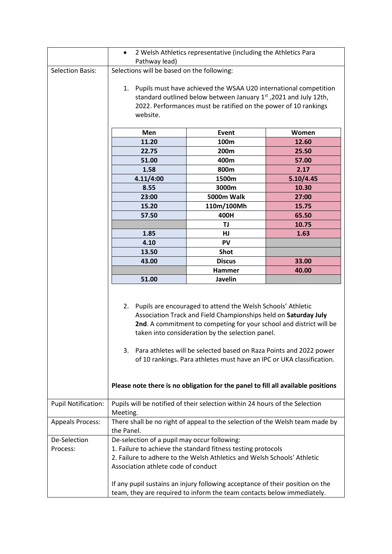|                            | 2 Welsh Athletics representative (including the Athletics Para<br>$\bullet$                                                                                                                                                                                                                                                                                                                                                                                                                        |               |           |  |
|----------------------------|----------------------------------------------------------------------------------------------------------------------------------------------------------------------------------------------------------------------------------------------------------------------------------------------------------------------------------------------------------------------------------------------------------------------------------------------------------------------------------------------------|---------------|-----------|--|
|                            | Pathway lead)                                                                                                                                                                                                                                                                                                                                                                                                                                                                                      |               |           |  |
| <b>Selection Basis:</b>    | Selections will be based on the following:                                                                                                                                                                                                                                                                                                                                                                                                                                                         |               |           |  |
|                            | 1. Pupils must have achieved the WSAA U20 international competition<br>standard outlined below between January 1st, 2021 and July 12th,<br>2022. Performances must be ratified on the power of 10 rankings<br>website.                                                                                                                                                                                                                                                                             |               |           |  |
|                            | Men                                                                                                                                                                                                                                                                                                                                                                                                                                                                                                | Event         | Women     |  |
|                            | 11.20                                                                                                                                                                                                                                                                                                                                                                                                                                                                                              | 100m          | 12.60     |  |
|                            | 22.75                                                                                                                                                                                                                                                                                                                                                                                                                                                                                              | 200m          | 25.50     |  |
|                            | 51.00                                                                                                                                                                                                                                                                                                                                                                                                                                                                                              | 400m          | 57.00     |  |
|                            | 1.58                                                                                                                                                                                                                                                                                                                                                                                                                                                                                               | 800m          | 2.17      |  |
|                            | 4.11/4:00                                                                                                                                                                                                                                                                                                                                                                                                                                                                                          | 1500m         | 5.10/4.45 |  |
|                            |                                                                                                                                                                                                                                                                                                                                                                                                                                                                                                    | 3000m         |           |  |
|                            | 8.55                                                                                                                                                                                                                                                                                                                                                                                                                                                                                               | 5000m Walk    | 10.30     |  |
|                            | 23:00<br>15.20                                                                                                                                                                                                                                                                                                                                                                                                                                                                                     |               | 27:00     |  |
|                            |                                                                                                                                                                                                                                                                                                                                                                                                                                                                                                    | 110m/100Mh    | 15.75     |  |
|                            | 57.50                                                                                                                                                                                                                                                                                                                                                                                                                                                                                              | 400H          | 65.50     |  |
|                            |                                                                                                                                                                                                                                                                                                                                                                                                                                                                                                    | TJ            | 10.75     |  |
|                            | 1.85                                                                                                                                                                                                                                                                                                                                                                                                                                                                                               | HJ            | 1.63      |  |
|                            | 4.10                                                                                                                                                                                                                                                                                                                                                                                                                                                                                               | PV            |           |  |
|                            | 13.50                                                                                                                                                                                                                                                                                                                                                                                                                                                                                              | <b>Shot</b>   |           |  |
|                            | 43.00                                                                                                                                                                                                                                                                                                                                                                                                                                                                                              | <b>Discus</b> | 33.00     |  |
|                            |                                                                                                                                                                                                                                                                                                                                                                                                                                                                                                    | Hammer        | 40.00     |  |
|                            | 51.00                                                                                                                                                                                                                                                                                                                                                                                                                                                                                              | Javelin       |           |  |
|                            | 2. Pupils are encouraged to attend the Welsh Schools' Athletic<br>Association Track and Field Championships held on Saturday July<br>2nd. A commitment to competing for your school and district will be<br>taken into consideration by the selection panel.<br>3. Para athletes will be selected based on Raza Points and 2022 power<br>of 10 rankings. Para athletes must have an IPC or UKA classification.<br>Please note there is no obligation for the panel to fill all available positions |               |           |  |
| <b>Pupil Notification:</b> | Pupils will be notified of their selection within 24 hours of the Selection<br>Meeting.                                                                                                                                                                                                                                                                                                                                                                                                            |               |           |  |
| <b>Appeals Process:</b>    | There shall be no right of appeal to the selection of the Welsh team made by<br>the Panel.                                                                                                                                                                                                                                                                                                                                                                                                         |               |           |  |
| De-Selection               | De-selection of a pupil may occur following:                                                                                                                                                                                                                                                                                                                                                                                                                                                       |               |           |  |
| Process:                   | 1. Failure to achieve the standard fitness testing protocols                                                                                                                                                                                                                                                                                                                                                                                                                                       |               |           |  |
|                            | 2. Failure to adhere to the Welsh Athletics and Welsh Schools' Athletic                                                                                                                                                                                                                                                                                                                                                                                                                            |               |           |  |
|                            | Association athlete code of conduct                                                                                                                                                                                                                                                                                                                                                                                                                                                                |               |           |  |
|                            | If any pupil sustains an injury following acceptance of their position on the<br>team, they are required to inform the team contacts below immediately.                                                                                                                                                                                                                                                                                                                                            |               |           |  |